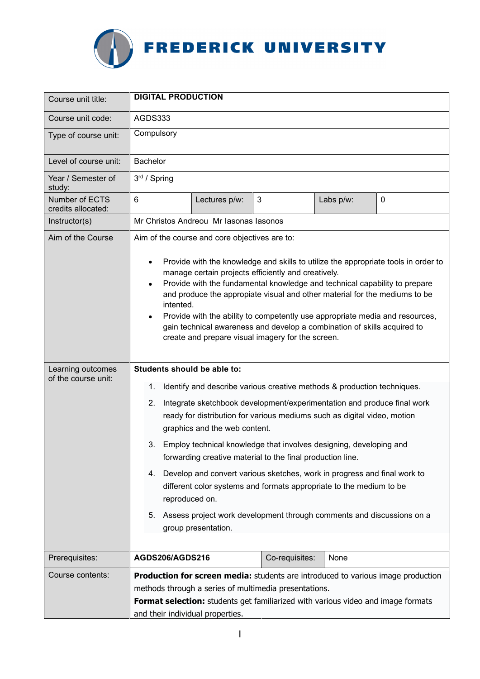

| Course unit title:                       | <b>DIGITAL PRODUCTION</b>                                                                                                                                                                                                                                                                                                                                                                                                                                                                                                                                                                                                   |
|------------------------------------------|-----------------------------------------------------------------------------------------------------------------------------------------------------------------------------------------------------------------------------------------------------------------------------------------------------------------------------------------------------------------------------------------------------------------------------------------------------------------------------------------------------------------------------------------------------------------------------------------------------------------------------|
| Course unit code:                        | AGDS333                                                                                                                                                                                                                                                                                                                                                                                                                                                                                                                                                                                                                     |
| Type of course unit:                     | Compulsory                                                                                                                                                                                                                                                                                                                                                                                                                                                                                                                                                                                                                  |
| Level of course unit:                    | <b>Bachelor</b>                                                                                                                                                                                                                                                                                                                                                                                                                                                                                                                                                                                                             |
| Year / Semester of<br>study:             | $3rd$ / Spring                                                                                                                                                                                                                                                                                                                                                                                                                                                                                                                                                                                                              |
| Number of ECTS<br>credits allocated:     | $6\phantom{1}$<br>3<br>Labs p/w:<br>$\mathbf 0$<br>Lectures p/w:                                                                                                                                                                                                                                                                                                                                                                                                                                                                                                                                                            |
| Instructor(s)                            | Mr Christos Andreou Mr Iasonas Iasonos                                                                                                                                                                                                                                                                                                                                                                                                                                                                                                                                                                                      |
| Aim of the Course                        | Aim of the course and core objectives are to:<br>Provide with the knowledge and skills to utilize the appropriate tools in order to<br>$\bullet$<br>manage certain projects efficiently and creatively.<br>Provide with the fundamental knowledge and technical capability to prepare<br>$\bullet$<br>and produce the appropiate visual and other material for the mediums to be<br>intented.<br>Provide with the ability to competently use appropriate media and resources,<br>$\bullet$<br>gain technical awareness and develop a combination of skills acquired to<br>create and prepare visual imagery for the screen. |
| Learning outcomes<br>of the course unit: | Students should be able to:<br>Identify and describe various creative methods & production techniques.<br>1.<br>Integrate sketchbook development/experimentation and produce final work<br>2.<br>ready for distribution for various mediums such as digital video, motion<br>graphics and the web content.<br>Employ technical knowledge that involves designing, developing and<br>3.<br>forwarding creative material to the final production line.                                                                                                                                                                        |
|                                          | Develop and convert various sketches, work in progress and final work to<br>4.<br>different color systems and formats appropriate to the medium to be<br>reproduced on.<br>5.<br>Assess project work development through comments and discussions on a                                                                                                                                                                                                                                                                                                                                                                      |
|                                          | group presentation.                                                                                                                                                                                                                                                                                                                                                                                                                                                                                                                                                                                                         |
| Prerequisites:                           | AGDS206/AGDS216<br>Co-requisites:<br>None                                                                                                                                                                                                                                                                                                                                                                                                                                                                                                                                                                                   |
| Course contents:                         | <b>Production for screen media:</b> students are introduced to various image production<br>methods through a series of multimedia presentations.<br>Format selection: students get familiarized with various video and image formats<br>and their individual properties.                                                                                                                                                                                                                                                                                                                                                    |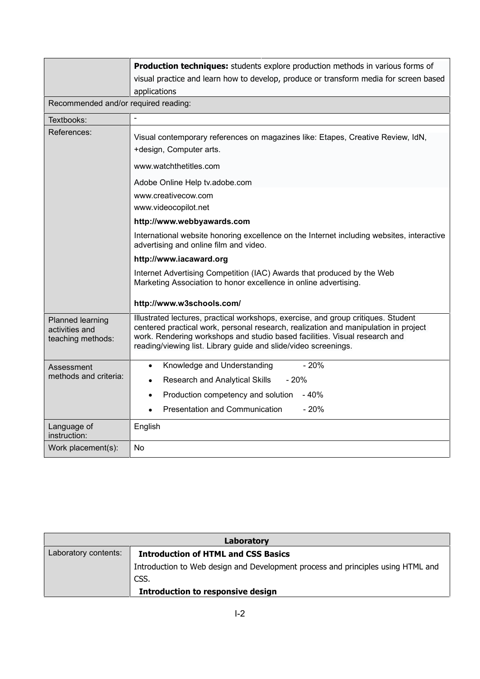|                                                         | Production techniques: students explore production methods in various forms of<br>visual practice and learn how to develop, produce or transform media for screen based<br>applications                                                                                                                                   |  |
|---------------------------------------------------------|---------------------------------------------------------------------------------------------------------------------------------------------------------------------------------------------------------------------------------------------------------------------------------------------------------------------------|--|
| Recommended and/or required reading:                    |                                                                                                                                                                                                                                                                                                                           |  |
| Textbooks:                                              |                                                                                                                                                                                                                                                                                                                           |  |
| References:                                             | Visual contemporary references on magazines like: Etapes, Creative Review, IdN,<br>+design, Computer arts.                                                                                                                                                                                                                |  |
|                                                         | www.watchthetitles.com                                                                                                                                                                                                                                                                                                    |  |
|                                                         | Adobe Online Help tv.adobe.com                                                                                                                                                                                                                                                                                            |  |
|                                                         | www.creativecow.com                                                                                                                                                                                                                                                                                                       |  |
|                                                         | www.videocopilot.net                                                                                                                                                                                                                                                                                                      |  |
|                                                         | http://www.webbyawards.com                                                                                                                                                                                                                                                                                                |  |
|                                                         | International website honoring excellence on the Internet including websites, interactive<br>advertising and online film and video.                                                                                                                                                                                       |  |
|                                                         | http://www.iacaward.org                                                                                                                                                                                                                                                                                                   |  |
|                                                         | Internet Advertising Competition (IAC) Awards that produced by the Web<br>Marketing Association to honor excellence in online advertising.                                                                                                                                                                                |  |
|                                                         | http://www.w3schools.com/                                                                                                                                                                                                                                                                                                 |  |
| Planned learning<br>activities and<br>teaching methods: | Illustrated lectures, practical workshops, exercise, and group critiques. Student<br>centered practical work, personal research, realization and manipulation in project<br>work. Rendering workshops and studio based facilities. Visual research and<br>reading/viewing list. Library guide and slide/video screenings. |  |
| Assessment<br>methods and criteria:                     | $-20%$<br>Knowledge and Understanding<br>$\bullet$                                                                                                                                                                                                                                                                        |  |
|                                                         | Research and Analytical Skills<br>- 20%<br>$\bullet$                                                                                                                                                                                                                                                                      |  |
|                                                         | Production competency and solution - 40%                                                                                                                                                                                                                                                                                  |  |
|                                                         | Presentation and Communication<br>$-20%$                                                                                                                                                                                                                                                                                  |  |
| Language of<br>instruction:                             | English                                                                                                                                                                                                                                                                                                                   |  |
| Work placement(s):                                      | N <sub>o</sub>                                                                                                                                                                                                                                                                                                            |  |

| Laboratory           |                                                                                  |  |
|----------------------|----------------------------------------------------------------------------------|--|
| Laboratory contents: | <b>Introduction of HTML and CSS Basics</b>                                       |  |
|                      | Introduction to Web design and Development process and principles using HTML and |  |
|                      | CSS.                                                                             |  |
|                      | <b>Introduction to responsive design</b>                                         |  |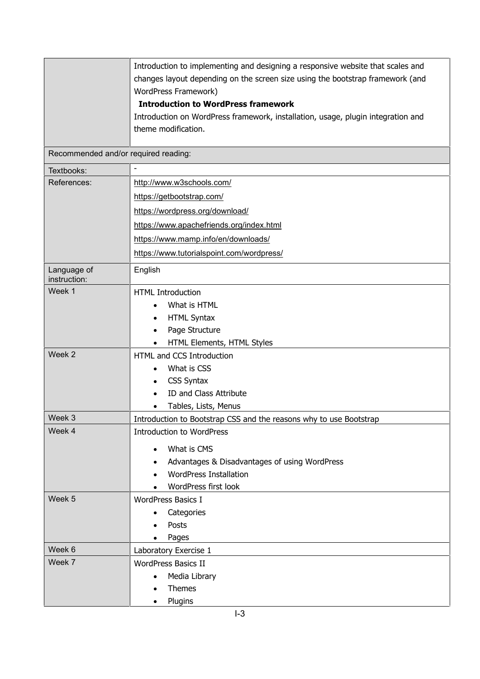|                                      | Introduction to implementing and designing a responsive website that scales and<br>changes layout depending on the screen size using the bootstrap framework (and<br>WordPress Framework)<br><b>Introduction to WordPress framework</b><br>Introduction on WordPress framework, installation, usage, plugin integration and<br>theme modification. |
|--------------------------------------|----------------------------------------------------------------------------------------------------------------------------------------------------------------------------------------------------------------------------------------------------------------------------------------------------------------------------------------------------|
| Recommended and/or required reading: |                                                                                                                                                                                                                                                                                                                                                    |
| Textbooks:                           |                                                                                                                                                                                                                                                                                                                                                    |
| References:                          | http://www.w3schools.com/                                                                                                                                                                                                                                                                                                                          |
|                                      | https://getbootstrap.com/                                                                                                                                                                                                                                                                                                                          |
|                                      | https://wordpress.org/download/                                                                                                                                                                                                                                                                                                                    |
|                                      | https://www.apachefriends.org/index.html                                                                                                                                                                                                                                                                                                           |
|                                      | https://www.mamp.info/en/downloads/                                                                                                                                                                                                                                                                                                                |
|                                      | https://www.tutorialspoint.com/wordpress/                                                                                                                                                                                                                                                                                                          |
| Language of<br>instruction:          | English                                                                                                                                                                                                                                                                                                                                            |
| Week 1                               | <b>HTML Introduction</b>                                                                                                                                                                                                                                                                                                                           |
|                                      | What is HTML<br>$\bullet$                                                                                                                                                                                                                                                                                                                          |
|                                      | <b>HTML Syntax</b>                                                                                                                                                                                                                                                                                                                                 |
|                                      | Page Structure<br>$\bullet$                                                                                                                                                                                                                                                                                                                        |
|                                      | HTML Elements, HTML Styles                                                                                                                                                                                                                                                                                                                         |
| Week 2                               | HTML and CCS Introduction                                                                                                                                                                                                                                                                                                                          |
|                                      | What is CSS                                                                                                                                                                                                                                                                                                                                        |
|                                      | <b>CSS Syntax</b>                                                                                                                                                                                                                                                                                                                                  |
|                                      | ID and Class Attribute<br>$\bullet$                                                                                                                                                                                                                                                                                                                |
|                                      | Tables, Lists, Menus                                                                                                                                                                                                                                                                                                                               |
| Week 3<br>Week 4                     | Introduction to Bootstrap CSS and the reasons why to use Bootstrap                                                                                                                                                                                                                                                                                 |
|                                      | <b>Introduction to WordPress</b>                                                                                                                                                                                                                                                                                                                   |
|                                      | What is CMS<br>$\bullet$                                                                                                                                                                                                                                                                                                                           |
|                                      | Advantages & Disadvantages of using WordPress                                                                                                                                                                                                                                                                                                      |
|                                      | <b>WordPress Installation</b>                                                                                                                                                                                                                                                                                                                      |
|                                      | WordPress first look                                                                                                                                                                                                                                                                                                                               |
| Week 5                               | <b>WordPress Basics I</b>                                                                                                                                                                                                                                                                                                                          |
|                                      | Categories                                                                                                                                                                                                                                                                                                                                         |
|                                      | Posts<br>Pages                                                                                                                                                                                                                                                                                                                                     |
| Week 6                               | Laboratory Exercise 1                                                                                                                                                                                                                                                                                                                              |
| Week 7                               | <b>WordPress Basics II</b>                                                                                                                                                                                                                                                                                                                         |
|                                      | Media Library                                                                                                                                                                                                                                                                                                                                      |
|                                      | Themes                                                                                                                                                                                                                                                                                                                                             |
|                                      | Plugins<br>$\bullet$                                                                                                                                                                                                                                                                                                                               |